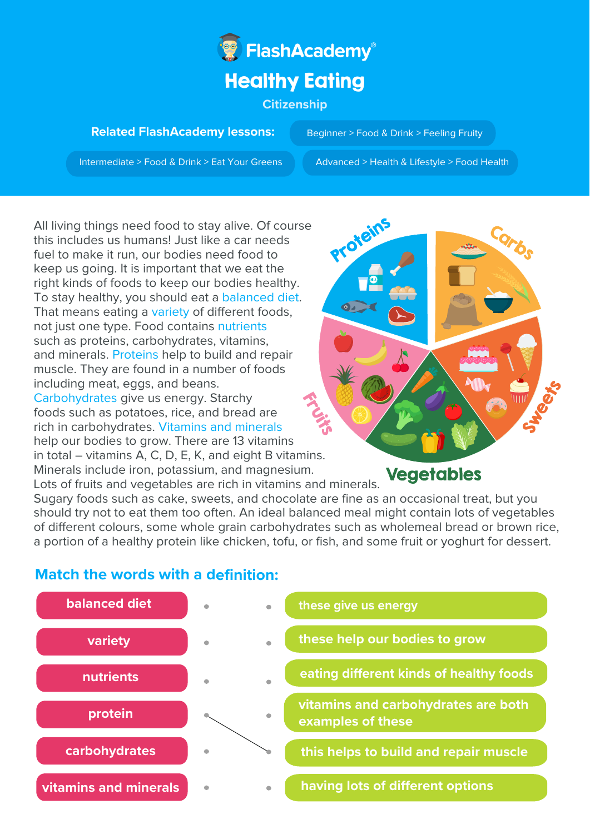

## **Related FlashAcademy lessons:**

Beginner > Food & Drink > Feeling Fruity

Intermediate > Food & Drink > Eat Your Greens Advanced > Health & Lifestyle > Food Health

All living things need food to stay alive. Of course this includes us humans! Just like a car needs fuel to make it run, our bodies need food to keep us going. It is important that we eat the right kinds of foods to keep our bodies healthy. To stay healthy, you should eat a balanced diet. That means eating a variety of different foods, not just one type. Food contains nutrients such as proteins, carbohydrates, vitamins, and minerals. Proteins help to build and repair muscle. They are found in a number of foods including meat, eggs, and beans. Carbohydrates give us energy. Starchy foods such as potatoes, rice, and bread are rich in carbohydrates. Vitamins and minerals help our bodies to grow. There are 13 vitamins

in total – vitamins A, C, D, E, K, and eight B vitamins. Minerals include iron, potassium, and magnesium.

Protein

**Vegetables** 

Lots of fruits and vegetables are rich in vitamins and minerals. Sugary foods such as cake, sweets, and chocolate are fine as an occasional treat, but you should try not to eat them too often. An ideal balanced meal might contain lots of vegetables of different colours, some whole grain carbohydrates such as wholemeal bread or brown rice, a portion of a healthy protein like chicken, tofu, or fish, and some fruit or yoghurt for dessert.

## **Match the words with a definition:**